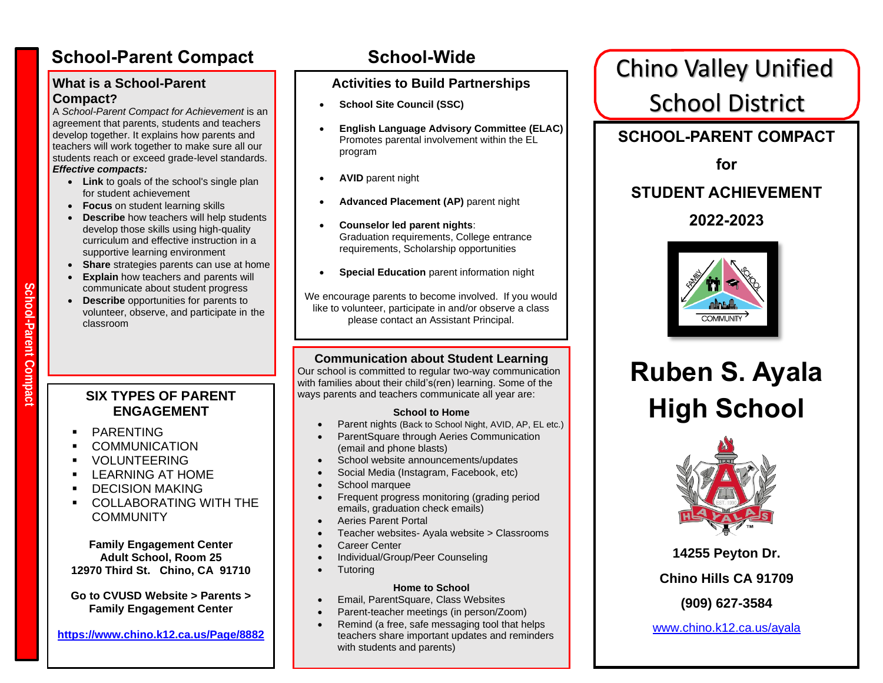#### **What is a School-Parent Compact?**

A *School-Parent Compact for Achievement* is an agreement that parents, students and teachers develop together. It explains how parents and teachers will work together to make sure all our students reach or exceed grade-level standards. *Effective compacts:*

- **Link** to goals of the school's single plan for student achievement
- **Focus** on student learning skills
- **Describe** how teachers will help students develop those skills using high-quality curriculum and effective instruction in a supportive learning environment
- **Share** strategies parents can use at home
- **Explain** how teachers and parents will communicate about student progress
- **Describe** opportunities for parents to volunteer, observe, and participate in the classroom

### **SIX TYPES OF PARENT ENGAGEMENT**

- **PARENTING**
- **COMMUNICATION**
- **VOLUNTEERING**
- **LEARNING AT HOME**
- **DECISION MAKING**
- COLLABORATING WITH THE COMMUNITY

**Family Engagement Center Adult School, Room 25 12970 Third St. Chino, CA 91710**

**Go to CVUSD Website > Parents > Family Engagement Center**

**<https://www.chino.k12.ca.us/Page/8882>**

## **Activities to Build Partnerships**

- **School Site Council (SSC)**
- **English Language Advisory Committee (ELAC)**  Promotes parental involvement within the EL program
- **AVID** parent night
- **Advanced Placement (AP)** parent night
- **Counselor led parent nights**: Graduation requirements, College entrance requirements, Scholarship opportunities
- **Special Education** parent information night

We encourage parents to become involved. If you would like to volunteer, participate in and/or observe a class please contact an Assistant Principal.

### **Communication about Student Learning**

Our school is committed to regular two-way communication with families about their child's(ren) learning. Some of the ways parents and teachers communicate all year are: 

#### **School to Home**

- Parent nights (Back to School Night, AVID, AP, EL etc.)
- ParentSquare through Aeries Communication (email and phone blasts)
- School website announcements/updates
- Social Media (Instagram, Facebook, etc) If you would like to *volunteer, participate* in,
- **•** School marquee
	- Frequent progress monitoring (grading period emails, graduation check emails)
	- Aeries Parent Portal
	- Teacher websites- Ayala website > Classrooms
	- Career Center
	- Individual/Group/Peer Counseling
		- **Tutoring**

#### **Home to School**

- Email, ParentSquare, Class Websites
- Parent-teacher meetings (in person/Zoom)
- Remind (a free, safe messaging tool that helps teachers share important updates and reminders with students and parents)

School-Parent Compact School-Wide **School-Wide** Chino Valley Unified School District

**SCHOOL-PARENT COMPACT**

**for**

# **STUDENT ACHIEVEMENT**

**2022-2023**



# **Ruben S. Ayala High School**



**14255 Peyton Dr. Chino Hills CA 91709**

**(909) 627-3584**

[www.chino.k12.ca.us/ayala](http://www.chino.k12.ca.us/ayala)

# **Sc h o ol-Par ent** *<u>compact</u>*